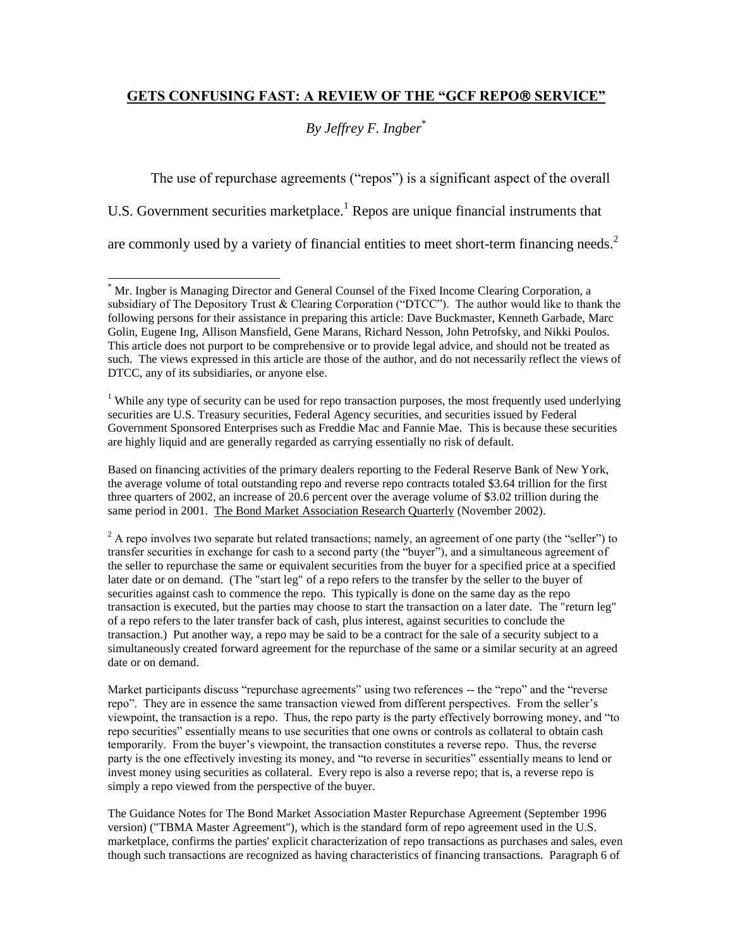## **GETS CONFUSING FAST: A REVIEW OF THE "GCF REPO SERVICE"**

# *By Jeffrey F. Ingber*\*

The use of repurchase agreements ("repos") is a significant aspect of the overall U.S. Government securities marketplace.<sup>1</sup> Repos are unique financial instruments that are commonly used by a variety of financial entities to meet short-term financing needs.<sup>2</sup>

l

<sup>1</sup> While any type of security can be used for repo transaction purposes, the most frequently used underlying securities are U.S. Treasury securities, Federal Agency securities, and securities issued by Federal Government Sponsored Enterprises such as Freddie Mac and Fannie Mae. This is because these securities are highly liquid and are generally regarded as carrying essentially no risk of default.

Based on financing activities of the primary dealers reporting to the Federal Reserve Bank of New York, the average volume of total outstanding repo and reverse repo contracts totaled \$3.64 trillion for the first three quarters of 2002, an increase of 20.6 percent over the average volume of \$3.02 trillion during the same period in 2001. The Bond Market Association Research Quarterly (November 2002).

<sup>2</sup> A repo involves two separate but related transactions; namely, an agreement of one party (the "seller") to transfer securities in exchange for cash to a second party (the "buyer"), and a simultaneous agreement of the seller to repurchase the same or equivalent securities from the buyer for a specified price at a specified later date or on demand. (The "start leg" of a repo refers to the transfer by the seller to the buyer of securities against cash to commence the repo. This typically is done on the same day as the repo transaction is executed, but the parties may choose to start the transaction on a later date. The "return leg" of a repo refers to the later transfer back of cash, plus interest, against securities to conclude the transaction.) Put another way, a repo may be said to be a contract for the sale of a security subject to a simultaneously created forward agreement for the repurchase of the same or a similar security at an agreed date or on demand.

Market participants discuss "repurchase agreements" using two references -- the "repo" and the "reverse repo". They are in essence the same transaction viewed from different perspectives. From the seller's viewpoint, the transaction is a repo. Thus, the repo party is the party effectively borrowing money, and "to repo securities" essentially means to use securities that one owns or controls as collateral to obtain cash temporarily. From the buyer's viewpoint, the transaction constitutes a reverse repo. Thus, the reverse party is the one effectively investing its money, and "to reverse in securities" essentially means to lend or invest money using securities as collateral. Every repo is also a reverse repo; that is, a reverse repo is simply a repo viewed from the perspective of the buyer.

The Guidance Notes for The Bond Market Association Master Repurchase Agreement (September 1996 version) ("TBMA Master Agreement"), which is the standard form of repo agreement used in the U.S. marketplace, confirms the parties' explicit characterization of repo transactions as purchases and sales, even though such transactions are recognized as having characteristics of financing transactions. Paragraph 6 of

<sup>\*</sup> Mr. Ingber is Managing Director and General Counsel of the Fixed Income Clearing Corporation, a subsidiary of The Depository Trust & Clearing Corporation ("DTCC"). The author would like to thank the following persons for their assistance in preparing this article: Dave Buckmaster, Kenneth Garbade, Marc Golin, Eugene Ing, Allison Mansfield, Gene Marans, Richard Nesson, John Petrofsky, and Nikki Poulos. This article does not purport to be comprehensive or to provide legal advice, and should not be treated as such. The views expressed in this article are those of the author, and do not necessarily reflect the views of DTCC, any of its subsidiaries, or anyone else.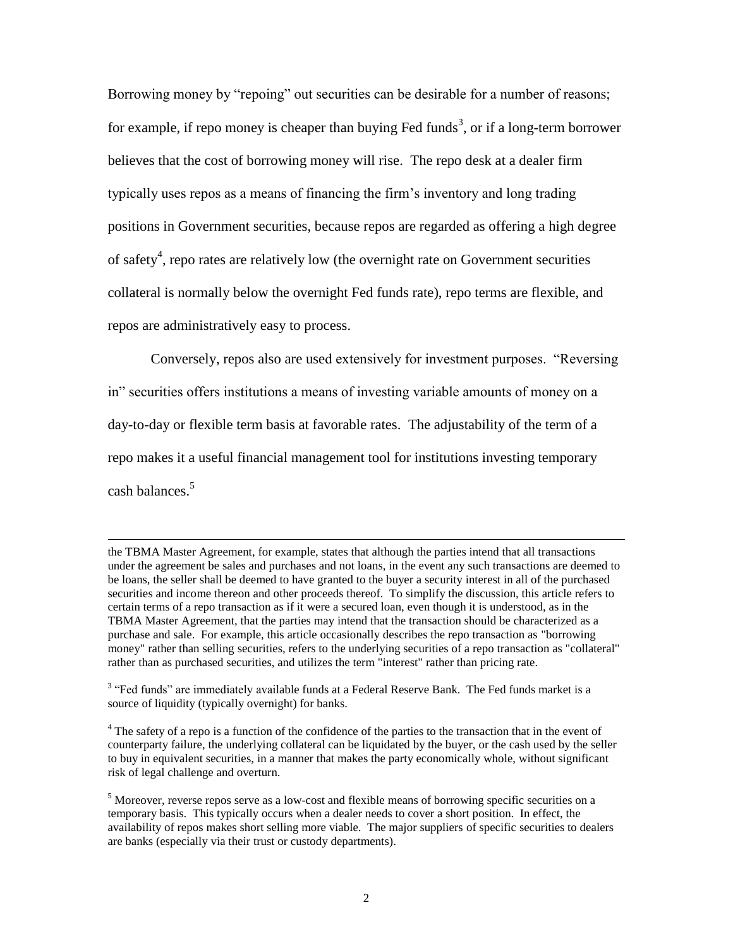Borrowing money by "repoing" out securities can be desirable for a number of reasons; for example, if repo money is cheaper than buying Fed funds<sup>3</sup>, or if a long-term borrower believes that the cost of borrowing money will rise. The repo desk at a dealer firm typically uses repos as a means of financing the firm's inventory and long trading positions in Government securities, because repos are regarded as offering a high degree of safety<sup>4</sup>, repo rates are relatively low (the overnight rate on Government securities collateral is normally below the overnight Fed funds rate), repo terms are flexible, and repos are administratively easy to process.

Conversely, repos also are used extensively for investment purposes. "Reversing in" securities offers institutions a means of investing variable amounts of money on a day-to-day or flexible term basis at favorable rates. The adjustability of the term of a repo makes it a useful financial management tool for institutions investing temporary cash balances.<sup>5</sup>

the TBMA Master Agreement, for example, states that although the parties intend that all transactions under the agreement be sales and purchases and not loans, in the event any such transactions are deemed to be loans, the seller shall be deemed to have granted to the buyer a security interest in all of the purchased securities and income thereon and other proceeds thereof. To simplify the discussion, this article refers to certain terms of a repo transaction as if it were a secured loan, even though it is understood, as in the TBMA Master Agreement, that the parties may intend that the transaction should be characterized as a purchase and sale. For example, this article occasionally describes the repo transaction as "borrowing money" rather than selling securities, refers to the underlying securities of a repo transaction as "collateral" rather than as purchased securities, and utilizes the term "interest" rather than pricing rate.

 $3$  "Fed funds" are immediately available funds at a Federal Reserve Bank. The Fed funds market is a source of liquidity (typically overnight) for banks.

<sup>&</sup>lt;sup>4</sup> The safety of a repo is a function of the confidence of the parties to the transaction that in the event of counterparty failure, the underlying collateral can be liquidated by the buyer, or the cash used by the seller to buy in equivalent securities, in a manner that makes the party economically whole, without significant risk of legal challenge and overturn.

<sup>5</sup> Moreover, reverse repos serve as a low-cost and flexible means of borrowing specific securities on a temporary basis. This typically occurs when a dealer needs to cover a short position. In effect, the availability of repos makes short selling more viable. The major suppliers of specific securities to dealers are banks (especially via their trust or custody departments).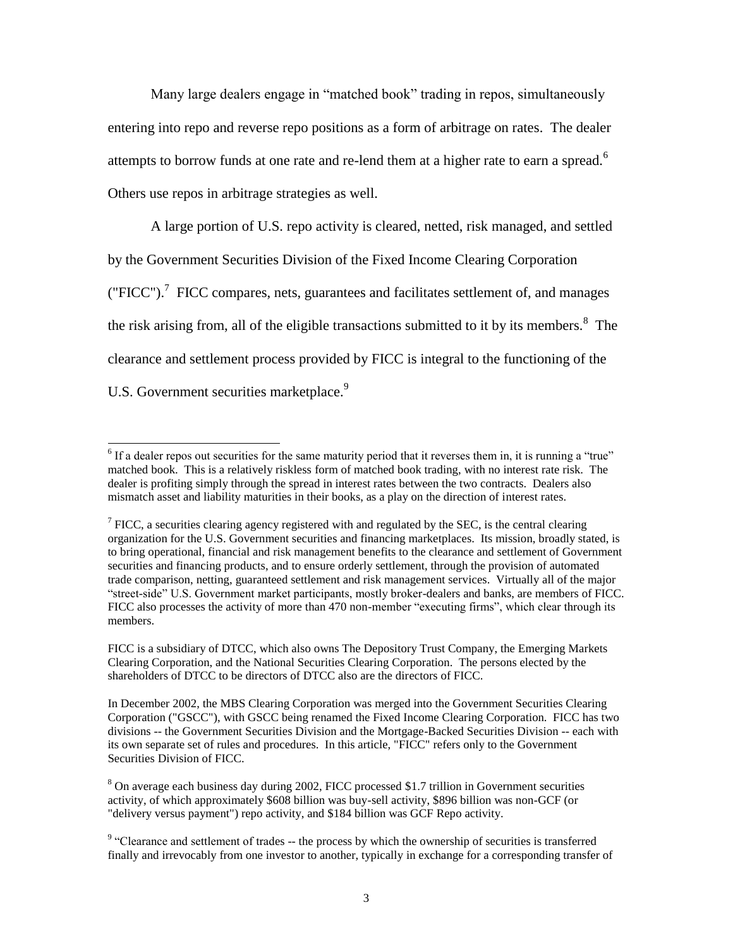Many large dealers engage in "matched book" trading in repos, simultaneously entering into repo and reverse repo positions as a form of arbitrage on rates. The dealer attempts to borrow funds at one rate and re-lend them at a higher rate to earn a spread.<sup>6</sup> Others use repos in arbitrage strategies as well.

A large portion of U.S. repo activity is cleared, netted, risk managed, and settled by the Government Securities Division of the Fixed Income Clearing Corporation ("FICC").<sup>7</sup> FICC compares, nets, guarantees and facilitates settlement of, and manages the risk arising from, all of the eligible transactions submitted to it by its members. $8\text{ }$  The clearance and settlement process provided by FICC is integral to the functioning of the U.S. Government securities marketplace.<sup>9</sup>

 $\overline{a}$  $<sup>6</sup>$  If a dealer repos out securities for the same maturity period that it reverses them in, it is running a "true"</sup> matched book. This is a relatively riskless form of matched book trading, with no interest rate risk. The dealer is profiting simply through the spread in interest rates between the two contracts. Dealers also mismatch asset and liability maturities in their books, as a play on the direction of interest rates.

 $<sup>7</sup>$  FICC, a securities clearing agency registered with and regulated by the SEC, is the central clearing</sup> organization for the U.S. Government securities and financing marketplaces. Its mission, broadly stated, is to bring operational, financial and risk management benefits to the clearance and settlement of Government securities and financing products, and to ensure orderly settlement, through the provision of automated trade comparison, netting, guaranteed settlement and risk management services. Virtually all of the major "street-side" U.S. Government market participants, mostly broker-dealers and banks, are members of FICC. FICC also processes the activity of more than 470 non-member "executing firms", which clear through its members.

FICC is a subsidiary of DTCC, which also owns The Depository Trust Company, the Emerging Markets Clearing Corporation, and the National Securities Clearing Corporation. The persons elected by the shareholders of DTCC to be directors of DTCC also are the directors of FICC.

In December 2002, the MBS Clearing Corporation was merged into the Government Securities Clearing Corporation ("GSCC"), with GSCC being renamed the Fixed Income Clearing Corporation. FICC has two divisions -- the Government Securities Division and the Mortgage-Backed Securities Division -- each with its own separate set of rules and procedures. In this article, "FICC" refers only to the Government Securities Division of FICC.

<sup>&</sup>lt;sup>8</sup> On average each business day during 2002, FICC processed \$1.7 trillion in Government securities activity, of which approximately \$608 billion was buy-sell activity, \$896 billion was non-GCF (or "delivery versus payment") repo activity, and \$184 billion was GCF Repo activity.

<sup>&</sup>lt;sup>9</sup> "Clearance and settlement of trades -- the process by which the ownership of securities is transferred finally and irrevocably from one investor to another, typically in exchange for a corresponding transfer of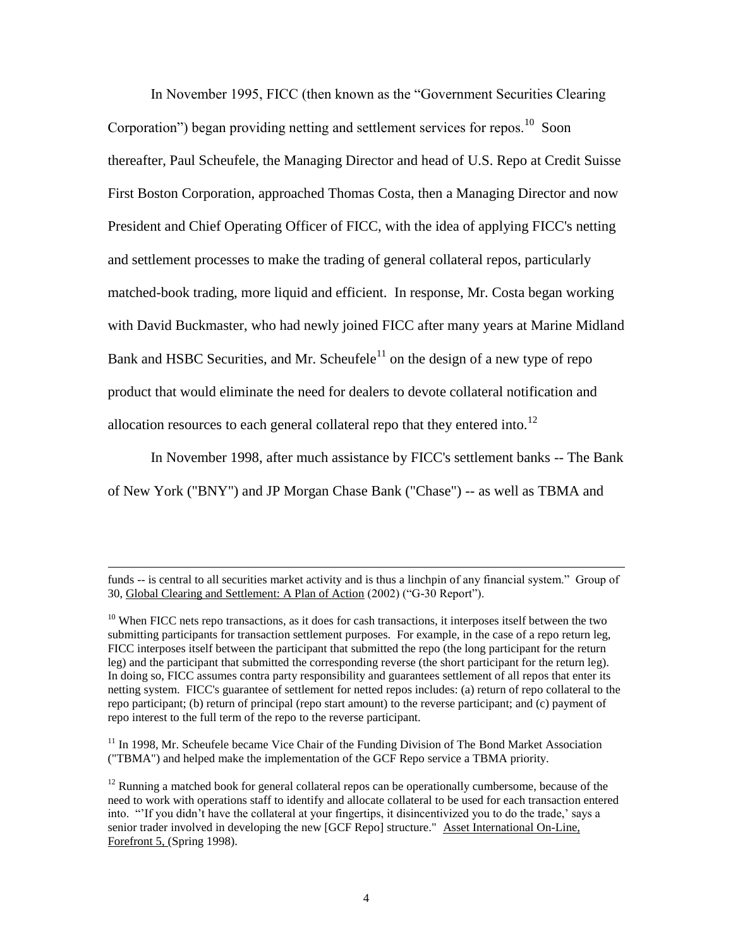In November 1995, FICC (then known as the "Government Securities Clearing Corporation") began providing netting and settlement services for repos.<sup>10</sup> Soon thereafter, Paul Scheufele, the Managing Director and head of U.S. Repo at Credit Suisse First Boston Corporation, approached Thomas Costa, then a Managing Director and now President and Chief Operating Officer of FICC, with the idea of applying FICC's netting and settlement processes to make the trading of general collateral repos, particularly matched-book trading, more liquid and efficient. In response, Mr. Costa began working with David Buckmaster, who had newly joined FICC after many years at Marine Midland Bank and HSBC Securities, and Mr. Scheufele<sup>11</sup> on the design of a new type of repo product that would eliminate the need for dealers to devote collateral notification and allocation resources to each general collateral repo that they entered into.<sup>12</sup>

In November 1998, after much assistance by FICC's settlement banks -- The Bank of New York ("BNY") and JP Morgan Chase Bank ("Chase") -- as well as TBMA and

l

<sup>11</sup> In 1998, Mr. Scheufele became Vice Chair of the Funding Division of The Bond Market Association ("TBMA") and helped make the implementation of the GCF Repo service a TBMA priority.

funds -- is central to all securities market activity and is thus a linchpin of any financial system." Group of 30, Global Clearing and Settlement: A Plan of Action (2002) ("G-30 Report").

 $10$  When FICC nets repo transactions, as it does for cash transactions, it interposes itself between the two submitting participants for transaction settlement purposes. For example, in the case of a repo return leg, FICC interposes itself between the participant that submitted the repo (the long participant for the return leg) and the participant that submitted the corresponding reverse (the short participant for the return leg). In doing so, FICC assumes contra party responsibility and guarantees settlement of all repos that enter its netting system. FICC's guarantee of settlement for netted repos includes: (a) return of repo collateral to the repo participant; (b) return of principal (repo start amount) to the reverse participant; and (c) payment of repo interest to the full term of the repo to the reverse participant.

 $12$  Running a matched book for general collateral repos can be operationally cumbersome, because of the need to work with operations staff to identify and allocate collateral to be used for each transaction entered into. "'If you didn't have the collateral at your fingertips, it disincentivized you to do the trade,' says a senior trader involved in developing the new [GCF Repo] structure." Asset International On-Line, Forefront 5, (Spring 1998).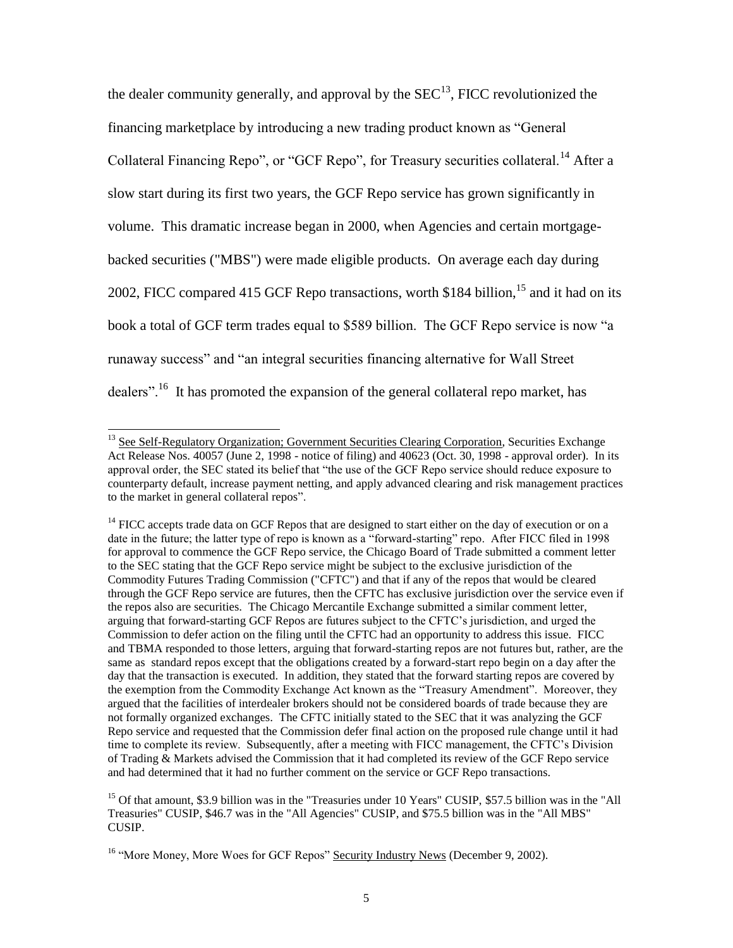the dealer community generally, and approval by the  $SEC^{13}$ , FICC revolutionized the financing marketplace by introducing a new trading product known as "General Collateral Financing Repo", or "GCF Repo", for Treasury securities collateral.<sup>14</sup> After a slow start during its first two years, the GCF Repo service has grown significantly in volume. This dramatic increase began in 2000, when Agencies and certain mortgagebacked securities ("MBS") were made eligible products. On average each day during 2002, FICC compared 415 GCF Repo transactions, worth \$184 billion,  $15$  and it had on its book a total of GCF term trades equal to \$589 billion. The GCF Repo service is now "a runaway success" and "an integral securities financing alternative for Wall Street dealers".<sup>16</sup> It has promoted the expansion of the general collateral repo market, has

<sup>&</sup>lt;sup>13</sup> See Self-Regulatory Organization; Government Securities Clearing Corporation, Securities Exchange Act Release Nos. 40057 (June 2, 1998 - notice of filing) and 40623 (Oct. 30, 1998 - approval order). In its approval order, the SEC stated its belief that "the use of the GCF Repo service should reduce exposure to counterparty default, increase payment netting, and apply advanced clearing and risk management practices to the market in general collateral repos".

<sup>&</sup>lt;sup>14</sup> FICC accepts trade data on GCF Repos that are designed to start either on the day of execution or on a date in the future; the latter type of repo is known as a "forward-starting" repo. After FICC filed in 1998 for approval to commence the GCF Repo service, the Chicago Board of Trade submitted a comment letter to the SEC stating that the GCF Repo service might be subject to the exclusive jurisdiction of the Commodity Futures Trading Commission ("CFTC") and that if any of the repos that would be cleared through the GCF Repo service are futures, then the CFTC has exclusive jurisdiction over the service even if the repos also are securities. The Chicago Mercantile Exchange submitted a similar comment letter, arguing that forward-starting GCF Repos are futures subject to the CFTC's jurisdiction, and urged the Commission to defer action on the filing until the CFTC had an opportunity to address this issue. FICC and TBMA responded to those letters, arguing that forward-starting repos are not futures but, rather, are the same as standard repos except that the obligations created by a forward-start repo begin on a day after the day that the transaction is executed. In addition, they stated that the forward starting repos are covered by the exemption from the Commodity Exchange Act known as the "Treasury Amendment". Moreover, they argued that the facilities of interdealer brokers should not be considered boards of trade because they are not formally organized exchanges. The CFTC initially stated to the SEC that it was analyzing the GCF Repo service and requested that the Commission defer final action on the proposed rule change until it had time to complete its review. Subsequently, after a meeting with FICC management, the CFTC's Division of Trading & Markets advised the Commission that it had completed its review of the GCF Repo service and had determined that it had no further comment on the service or GCF Repo transactions.

<sup>&</sup>lt;sup>15</sup> Of that amount, \$3.9 billion was in the "Treasuries under 10 Years" CUSIP, \$57.5 billion was in the "All Treasuries" CUSIP, \$46.7 was in the "All Agencies" CUSIP, and \$75.5 billion was in the "All MBS" CUSIP.

<sup>&</sup>lt;sup>16</sup> "More Money, More Woes for GCF Repos" Security Industry News (December 9, 2002).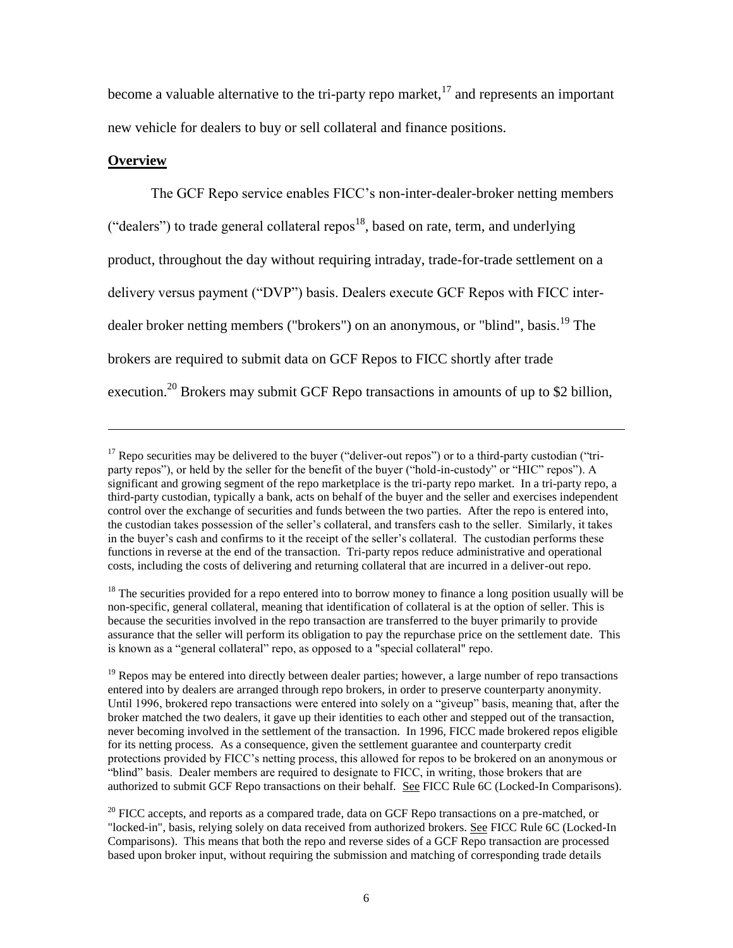become a valuable alternative to the tri-party repo market,  $17$  and represents an important new vehicle for dealers to buy or sell collateral and finance positions.

### **Overview**

 $\overline{\phantom{a}}$ 

The GCF Repo service enables FICC's non-inter-dealer-broker netting members ("dealers") to trade general collateral repos<sup>18</sup>, based on rate, term, and underlying product, throughout the day without requiring intraday, trade-for-trade settlement on a delivery versus payment ("DVP") basis. Dealers execute GCF Repos with FICC interdealer broker netting members ("brokers") on an anonymous, or "blind", basis.<sup>19</sup> The brokers are required to submit data on GCF Repos to FICC shortly after trade execution.<sup>20</sup> Brokers may submit GCF Repo transactions in amounts of up to \$2 billion,

 $17$  Repo securities may be delivered to the buyer ("deliver-out repos") or to a third-party custodian ("triparty repos"), or held by the seller for the benefit of the buyer ("hold-in-custody" or "HIC" repos"). A significant and growing segment of the repo marketplace is the tri-party repo market. In a tri-party repo, a third-party custodian, typically a bank, acts on behalf of the buyer and the seller and exercises independent control over the exchange of securities and funds between the two parties. After the repo is entered into, the custodian takes possession of the seller's collateral, and transfers cash to the seller. Similarly, it takes in the buyer's cash and confirms to it the receipt of the seller's collateral. The custodian performs these functions in reverse at the end of the transaction. Tri-party repos reduce administrative and operational costs, including the costs of delivering and returning collateral that are incurred in a deliver-out repo.

 $18$  The securities provided for a repo entered into to borrow money to finance a long position usually will be non-specific, general collateral, meaning that identification of collateral is at the option of seller. This is because the securities involved in the repo transaction are transferred to the buyer primarily to provide assurance that the seller will perform its obligation to pay the repurchase price on the settlement date. This is known as a "general collateral" repo, as opposed to a "special collateral" repo.

 $19$  Repos may be entered into directly between dealer parties; however, a large number of repo transactions entered into by dealers are arranged through repo brokers, in order to preserve counterparty anonymity. Until 1996, brokered repo transactions were entered into solely on a "giveup" basis, meaning that, after the broker matched the two dealers, it gave up their identities to each other and stepped out of the transaction, never becoming involved in the settlement of the transaction. In 1996, FICC made brokered repos eligible for its netting process. As a consequence, given the settlement guarantee and counterparty credit protections provided by FICC's netting process, this allowed for repos to be brokered on an anonymous or "blind" basis. Dealer members are required to designate to FICC, in writing, those brokers that are authorized to submit GCF Repo transactions on their behalf. See FICC Rule 6C (Locked-In Comparisons).

 $^{20}$  FICC accepts, and reports as a compared trade, data on GCF Repo transactions on a pre-matched, or "locked-in", basis, relying solely on data received from authorized brokers. See FICC Rule 6C (Locked-In Comparisons). This means that both the repo and reverse sides of a GCF Repo transaction are processed based upon broker input, without requiring the submission and matching of corresponding trade details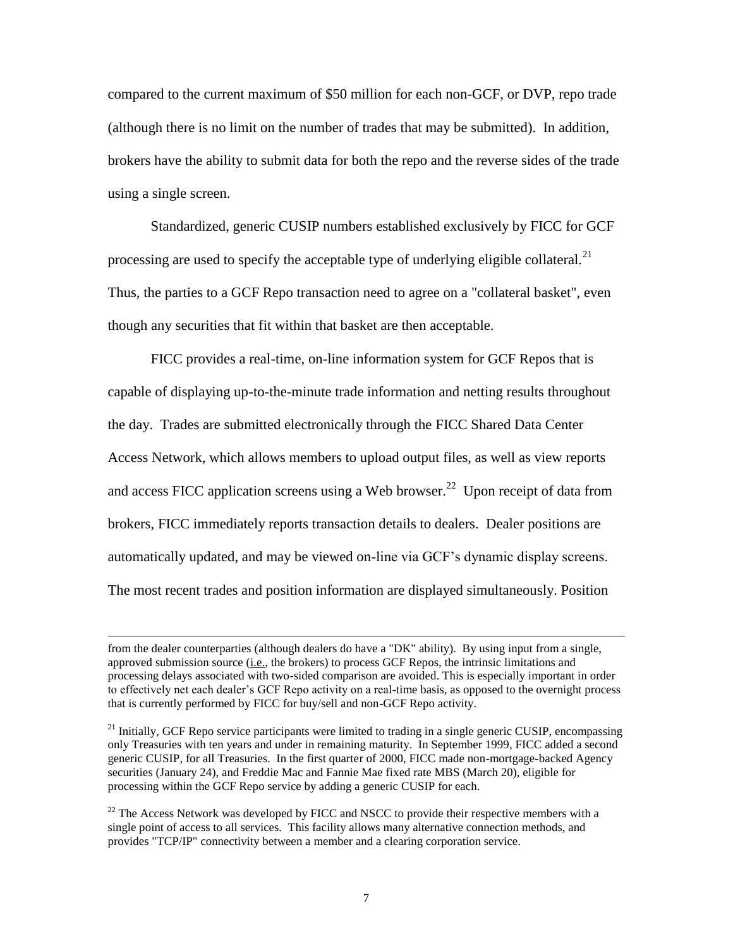compared to the current maximum of \$50 million for each non-GCF, or DVP, repo trade (although there is no limit on the number of trades that may be submitted). In addition, brokers have the ability to submit data for both the repo and the reverse sides of the trade using a single screen.

Standardized, generic CUSIP numbers established exclusively by FICC for GCF processing are used to specify the acceptable type of underlying eligible collateral.<sup>21</sup> Thus, the parties to a GCF Repo transaction need to agree on a "collateral basket", even though any securities that fit within that basket are then acceptable.

FICC provides a real-time, on-line information system for GCF Repos that is capable of displaying up-to-the-minute trade information and netting results throughout the day. Trades are submitted electronically through the FICC Shared Data Center Access Network, which allows members to upload output files, as well as view reports and access FICC application screens using a Web browser.<sup>22</sup> Upon receipt of data from brokers, FICC immediately reports transaction details to dealers. Dealer positions are automatically updated, and may be viewed on-line via GCF's dynamic display screens. The most recent trades and position information are displayed simultaneously. Position

from the dealer counterparties (although dealers do have a "DK" ability). By using input from a single, approved submission source (i.e., the brokers) to process GCF Repos, the intrinsic limitations and processing delays associated with two-sided comparison are avoided. This is especially important in order to effectively net each dealer's GCF Repo activity on a real-time basis, as opposed to the overnight process that is currently performed by FICC for buy/sell and non-GCF Repo activity.

 $21$  Initially, GCF Repo service participants were limited to trading in a single generic CUSIP, encompassing only Treasuries with ten years and under in remaining maturity. In September 1999, FICC added a second generic CUSIP, for all Treasuries. In the first quarter of 2000, FICC made non-mortgage-backed Agency securities (January 24), and Freddie Mac and Fannie Mae fixed rate MBS (March 20), eligible for processing within the GCF Repo service by adding a generic CUSIP for each.

 $^{22}$  The Access Network was developed by FICC and NSCC to provide their respective members with a single point of access to all services. This facility allows many alternative connection methods, and provides "TCP/IP" connectivity between a member and a clearing corporation service.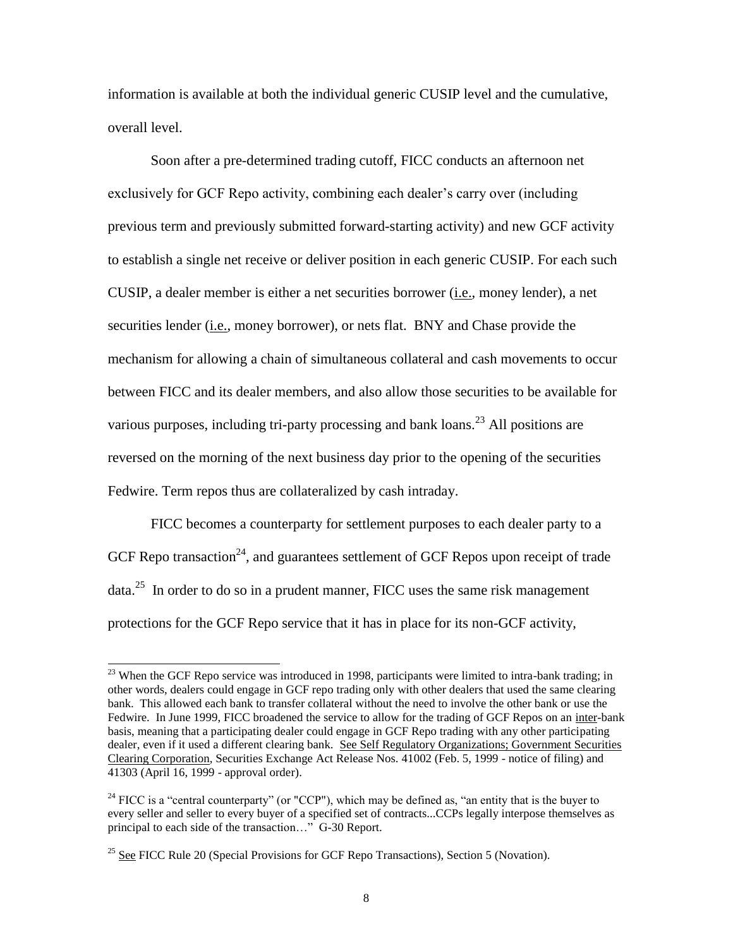information is available at both the individual generic CUSIP level and the cumulative, overall level.

Soon after a pre-determined trading cutoff, FICC conducts an afternoon net exclusively for GCF Repo activity, combining each dealer's carry over (including previous term and previously submitted forward-starting activity) and new GCF activity to establish a single net receive or deliver position in each generic CUSIP. For each such CUSIP, a dealer member is either a net securities borrower (i.e., money lender), a net securities lender (*i.e.*, money borrower), or nets flat. BNY and Chase provide the mechanism for allowing a chain of simultaneous collateral and cash movements to occur between FICC and its dealer members, and also allow those securities to be available for various purposes, including tri-party processing and bank loans.<sup>23</sup> All positions are reversed on the morning of the next business day prior to the opening of the securities Fedwire. Term repos thus are collateralized by cash intraday.

FICC becomes a counterparty for settlement purposes to each dealer party to a GCF Repo transaction<sup>24</sup>, and guarantees settlement of GCF Repos upon receipt of trade data.<sup>25</sup> In order to do so in a prudent manner, FICC uses the same risk management protections for the GCF Repo service that it has in place for its non-GCF activity,

 $\overline{a}$ 

 $23$  When the GCF Repo service was introduced in 1998, participants were limited to intra-bank trading; in other words, dealers could engage in GCF repo trading only with other dealers that used the same clearing bank. This allowed each bank to transfer collateral without the need to involve the other bank or use the Fedwire. In June 1999, FICC broadened the service to allow for the trading of GCF Repos on an inter-bank basis, meaning that a participating dealer could engage in GCF Repo trading with any other participating dealer, even if it used a different clearing bank. See Self Regulatory Organizations; Government Securities Clearing Corporation, Securities Exchange Act Release Nos. 41002 (Feb. 5, 1999 - notice of filing) and 41303 (April 16, 1999 - approval order).

 $24$  FICC is a "central counterparty" (or "CCP"), which may be defined as, "an entity that is the buyer to every seller and seller to every buyer of a specified set of contracts...CCPs legally interpose themselves as principal to each side of the transaction…" G-30 Report.

<sup>&</sup>lt;sup>25</sup> See FICC Rule 20 (Special Provisions for GCF Repo Transactions), Section 5 (Novation).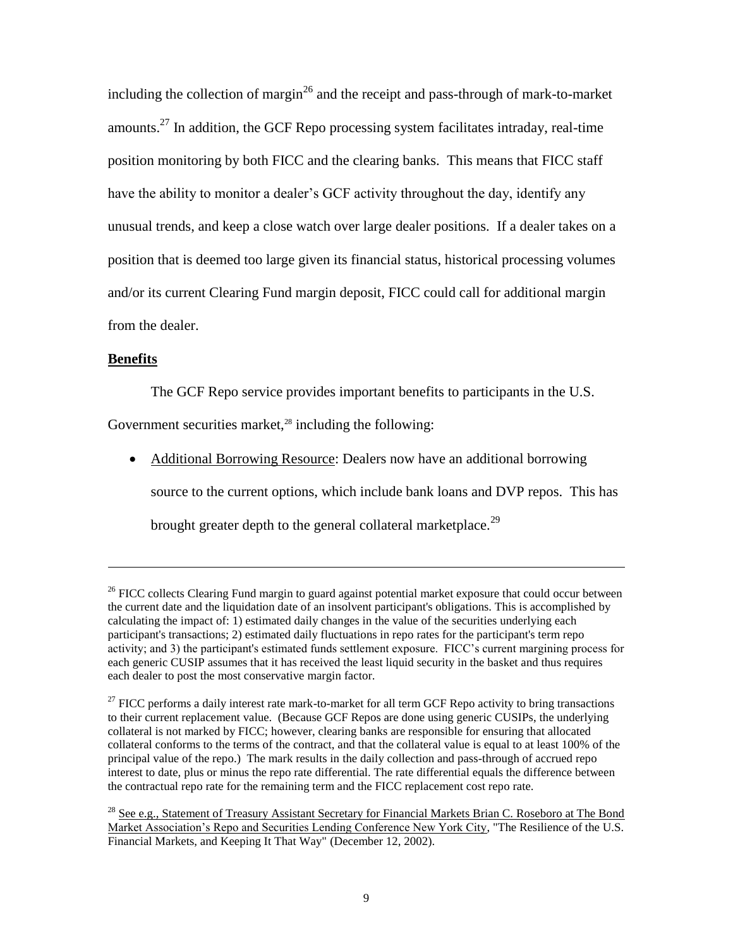including the collection of margin<sup>26</sup> and the receipt and pass-through of mark-to-market amounts.<sup>27</sup> In addition, the GCF Repo processing system facilitates intraday, real-time position monitoring by both FICC and the clearing banks. This means that FICC staff have the ability to monitor a dealer's GCF activity throughout the day, identify any unusual trends, and keep a close watch over large dealer positions. If a dealer takes on a position that is deemed too large given its financial status, historical processing volumes and/or its current Clearing Fund margin deposit, FICC could call for additional margin from the dealer.

#### **Benefits**

l

The GCF Repo service provides important benefits to participants in the U.S.

Government securities market, $28$  including the following:

• Additional Borrowing Resource: Dealers now have an additional borrowing source to the current options, which include bank loans and DVP repos. This has brought greater depth to the general collateral marketplace.<sup>29</sup>

 $26$  FICC collects Clearing Fund margin to guard against potential market exposure that could occur between the current date and the liquidation date of an insolvent participant's obligations. This is accomplished by calculating the impact of: 1) estimated daily changes in the value of the securities underlying each participant's transactions; 2) estimated daily fluctuations in repo rates for the participant's term repo activity; and 3) the participant's estimated funds settlement exposure. FICC's current margining process for each generic CUSIP assumes that it has received the least liquid security in the basket and thus requires each dealer to post the most conservative margin factor.

 $27$  FICC performs a daily interest rate mark-to-market for all term GCF Repo activity to bring transactions to their current replacement value. (Because GCF Repos are done using generic CUSIPs, the underlying collateral is not marked by FICC; however, clearing banks are responsible for ensuring that allocated collateral conforms to the terms of the contract, and that the collateral value is equal to at least 100% of the principal value of the repo.) The mark results in the daily collection and pass-through of accrued repo interest to date, plus or minus the repo rate differential. The rate differential equals the difference between the contractual repo rate for the remaining term and the FICC replacement cost repo rate.

<sup>&</sup>lt;sup>28</sup> See e.g., Statement of Treasury Assistant Secretary for Financial Markets Brian C. Roseboro at The Bond Market Association's Repo and Securities Lending Conference New York City, "The Resilience of the U.S. Financial Markets, and Keeping It That Way" (December 12, 2002).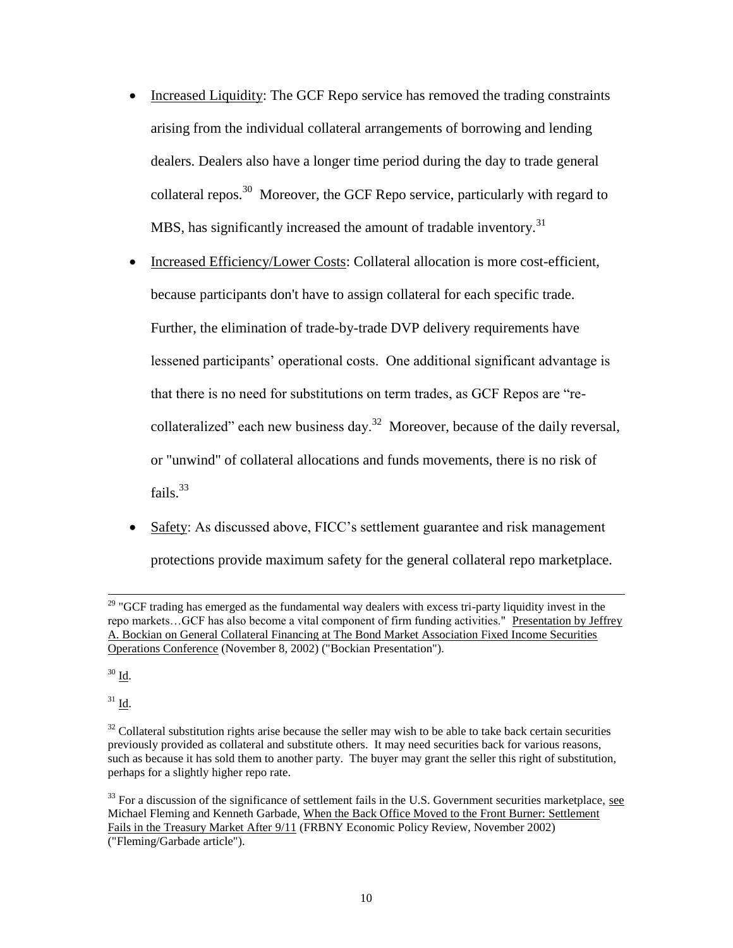- Increased Liquidity: The GCF Repo service has removed the trading constraints arising from the individual collateral arrangements of borrowing and lending dealers. Dealers also have a longer time period during the day to trade general collateral repos.<sup>30</sup> Moreover, the GCF Repo service, particularly with regard to MBS, has significantly increased the amount of tradable inventory.<sup>31</sup>
- Increased Efficiency/Lower Costs: Collateral allocation is more cost-efficient, because participants don't have to assign collateral for each specific trade. Further, the elimination of trade-by-trade DVP delivery requirements have lessened participants' operational costs. One additional significant advantage is that there is no need for substitutions on term trades, as GCF Repos are "recollateralized" each new business day.<sup>32</sup> Moreover, because of the daily reversal, or "unwind" of collateral allocations and funds movements, there is no risk of fails.<sup>33</sup>
- Safety: As discussed above, FICC's settlement guarantee and risk management protections provide maximum safety for the general collateral repo marketplace.

<sup>30</sup> Id.

l

 $31$  Id.

 $29$  "GCF trading has emerged as the fundamental way dealers with excess tri-party liquidity invest in the repo markets…GCF has also become a vital component of firm funding activities." Presentation by Jeffrey A. Bockian on General Collateral Financing at The Bond Market Association Fixed Income Securities Operations Conference (November 8, 2002) ("Bockian Presentation").

 $32$  Collateral substitution rights arise because the seller may wish to be able to take back certain securities previously provided as collateral and substitute others. It may need securities back for various reasons, such as because it has sold them to another party. The buyer may grant the seller this right of substitution, perhaps for a slightly higher repo rate.

<sup>&</sup>lt;sup>33</sup> For a discussion of the significance of settlement fails in the U.S. Government securities marketplace, see Michael Fleming and Kenneth Garbade, When the Back Office Moved to the Front Burner: Settlement Fails in the Treasury Market After 9/11 (FRBNY Economic Policy Review, November 2002) ("Fleming/Garbade article").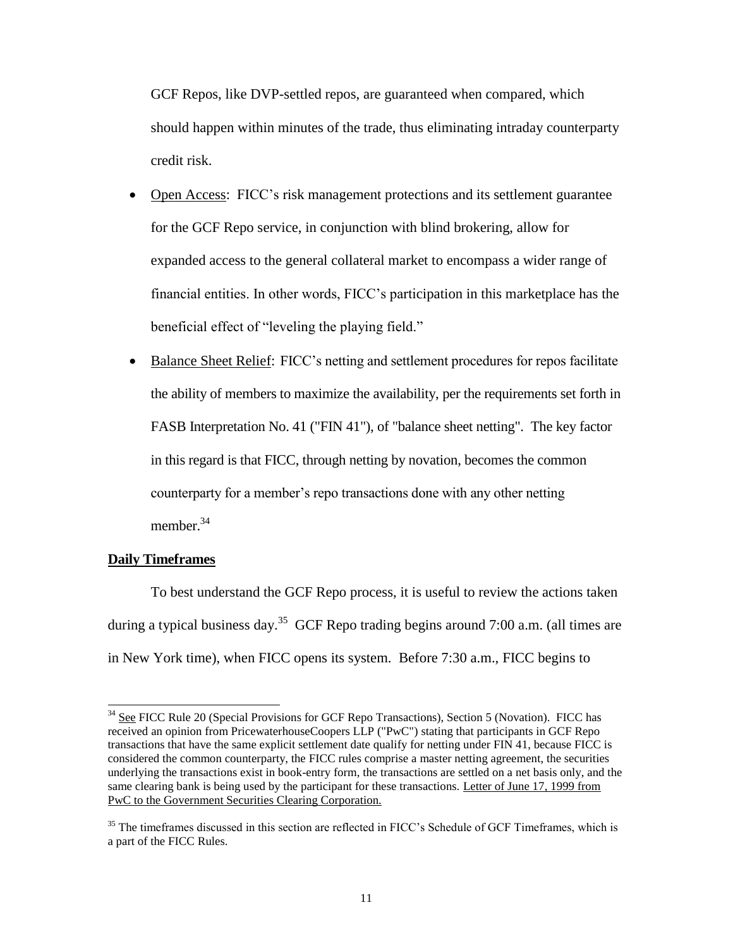GCF Repos, like DVP-settled repos, are guaranteed when compared, which should happen within minutes of the trade, thus eliminating intraday counterparty credit risk.

• Open Access: FICC's risk management protections and its settlement guarantee for the GCF Repo service, in conjunction with blind brokering, allow for expanded access to the general collateral market to encompass a wider range of financial entities. In other words, FICC's participation in this marketplace has the beneficial effect of "leveling the playing field."

• Balance Sheet Relief: FICC's netting and settlement procedures for repos facilitate the ability of members to maximize the availability, per the requirements set forth in FASB Interpretation No. 41 ("FIN 41"), of "balance sheet netting". The key factor in this regard is that FICC, through netting by novation, becomes the common counterparty for a member's repo transactions done with any other netting member.<sup>34</sup>

#### **Daily Timeframes**

 $\overline{\phantom{a}}$ 

To best understand the GCF Repo process, it is useful to review the actions taken during a typical business day.<sup>35</sup> GCF Repo trading begins around 7:00 a.m. (all times are in New York time), when FICC opens its system. Before 7:30 a.m., FICC begins to

<sup>&</sup>lt;sup>34</sup> See FICC Rule 20 (Special Provisions for GCF Repo Transactions), Section 5 (Novation). FICC has received an opinion from PricewaterhouseCoopers LLP ("PwC") stating that participants in GCF Repo transactions that have the same explicit settlement date qualify for netting under FIN 41, because FICC is considered the common counterparty, the FICC rules comprise a master netting agreement, the securities underlying the transactions exist in book-entry form, the transactions are settled on a net basis only, and the same clearing bank is being used by the participant for these transactions. Letter of June 17, 1999 from PwC to the Government Securities Clearing Corporation.

<sup>&</sup>lt;sup>35</sup> The timeframes discussed in this section are reflected in FICC's Schedule of GCF Timeframes, which is a part of the FICC Rules.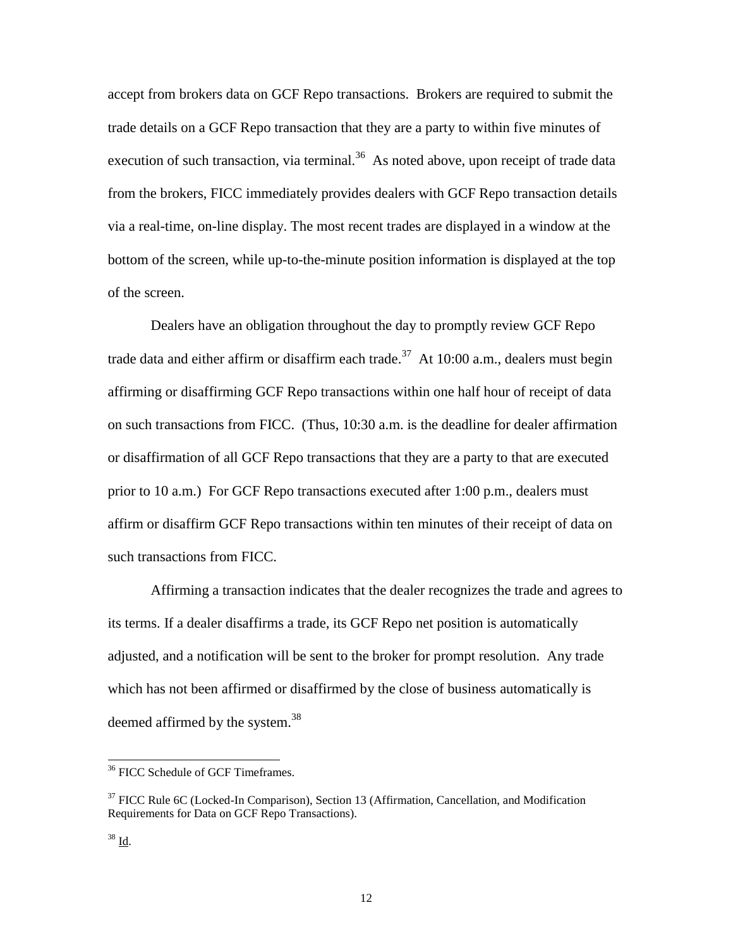accept from brokers data on GCF Repo transactions. Brokers are required to submit the trade details on a GCF Repo transaction that they are a party to within five minutes of execution of such transaction, via terminal. $36$  As noted above, upon receipt of trade data from the brokers, FICC immediately provides dealers with GCF Repo transaction details via a real-time, on-line display. The most recent trades are displayed in a window at the bottom of the screen, while up-to-the-minute position information is displayed at the top of the screen.

Dealers have an obligation throughout the day to promptly review GCF Repo trade data and either affirm or disaffirm each trade.<sup>37</sup> At 10:00 a.m., dealers must begin affirming or disaffirming GCF Repo transactions within one half hour of receipt of data on such transactions from FICC. (Thus, 10:30 a.m. is the deadline for dealer affirmation or disaffirmation of all GCF Repo transactions that they are a party to that are executed prior to 10 a.m.) For GCF Repo transactions executed after 1:00 p.m., dealers must affirm or disaffirm GCF Repo transactions within ten minutes of their receipt of data on such transactions from FICC.

Affirming a transaction indicates that the dealer recognizes the trade and agrees to its terms. If a dealer disaffirms a trade, its GCF Repo net position is automatically adjusted, and a notification will be sent to the broker for prompt resolution. Any trade which has not been affirmed or disaffirmed by the close of business automatically is deemed affirmed by the system.<sup>38</sup>

<sup>&</sup>lt;sup>36</sup> FICC Schedule of GCF Timeframes.

<sup>&</sup>lt;sup>37</sup> FICC Rule 6C (Locked-In Comparison), Section 13 (Affirmation, Cancellation, and Modification Requirements for Data on GCF Repo Transactions).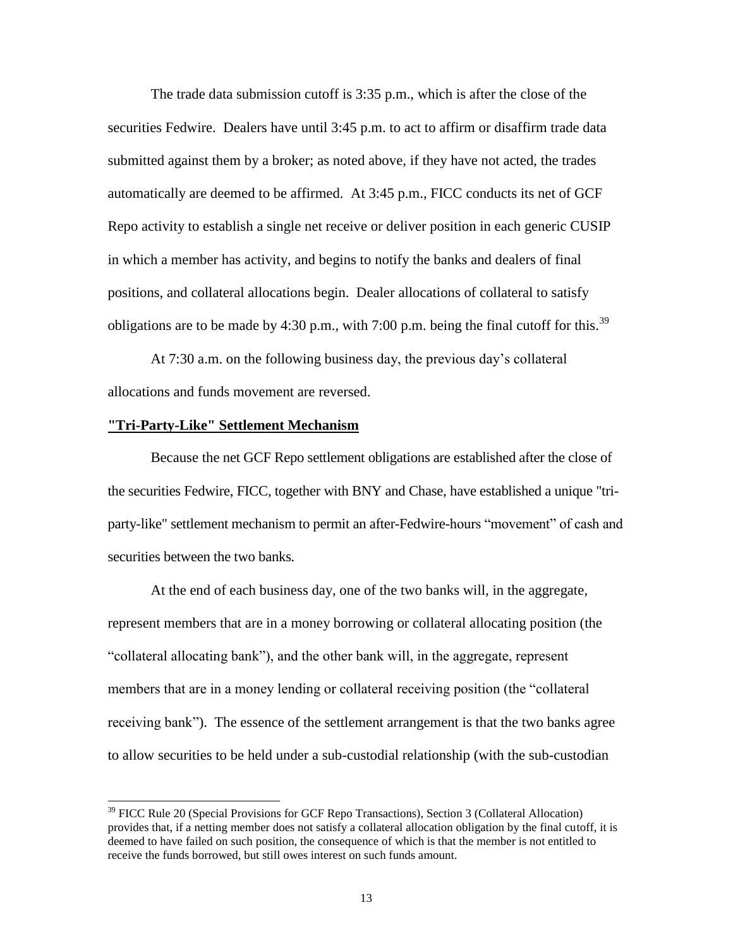The trade data submission cutoff is 3:35 p.m., which is after the close of the securities Fedwire. Dealers have until 3:45 p.m. to act to affirm or disaffirm trade data submitted against them by a broker; as noted above, if they have not acted, the trades automatically are deemed to be affirmed. At 3:45 p.m., FICC conducts its net of GCF Repo activity to establish a single net receive or deliver position in each generic CUSIP in which a member has activity, and begins to notify the banks and dealers of final positions, and collateral allocations begin. Dealer allocations of collateral to satisfy obligations are to be made by 4:30 p.m., with 7:00 p.m. being the final cutoff for this.<sup>39</sup>

At 7:30 a.m. on the following business day, the previous day's collateral allocations and funds movement are reversed.

#### **"Tri-Party-Like" Settlement Mechanism**

 $\overline{\phantom{a}}$ 

Because the net GCF Repo settlement obligations are established after the close of the securities Fedwire, FICC, together with BNY and Chase, have established a unique "triparty-like" settlement mechanism to permit an after-Fedwire-hours "movement" of cash and securities between the two banks.

At the end of each business day, one of the two banks will, in the aggregate, represent members that are in a money borrowing or collateral allocating position (the "collateral allocating bank"), and the other bank will, in the aggregate, represent members that are in a money lending or collateral receiving position (the "collateral receiving bank"). The essence of the settlement arrangement is that the two banks agree to allow securities to be held under a sub-custodial relationship (with the sub-custodian

<sup>&</sup>lt;sup>39</sup> FICC Rule 20 (Special Provisions for GCF Repo Transactions), Section 3 (Collateral Allocation) provides that, if a netting member does not satisfy a collateral allocation obligation by the final cutoff, it is deemed to have failed on such position, the consequence of which is that the member is not entitled to receive the funds borrowed, but still owes interest on such funds amount.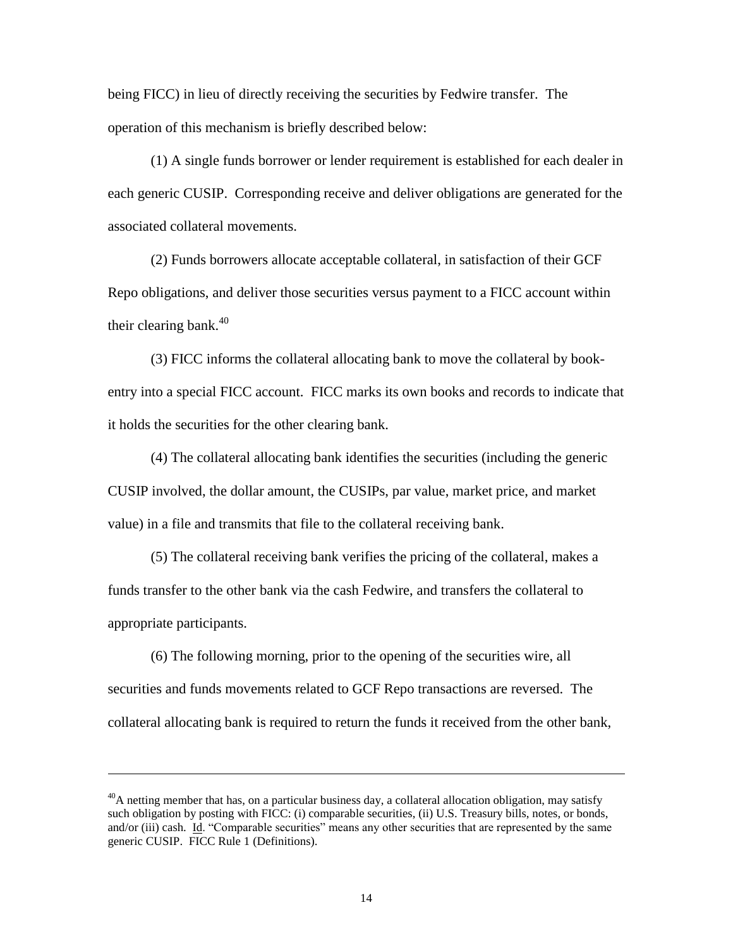being FICC) in lieu of directly receiving the securities by Fedwire transfer. The operation of this mechanism is briefly described below:

(1) A single funds borrower or lender requirement is established for each dealer in each generic CUSIP. Corresponding receive and deliver obligations are generated for the associated collateral movements.

(2) Funds borrowers allocate acceptable collateral, in satisfaction of their GCF Repo obligations, and deliver those securities versus payment to a FICC account within their clearing bank. $40$ 

(3) FICC informs the collateral allocating bank to move the collateral by bookentry into a special FICC account. FICC marks its own books and records to indicate that it holds the securities for the other clearing bank.

(4) The collateral allocating bank identifies the securities (including the generic CUSIP involved, the dollar amount, the CUSIPs, par value, market price, and market value) in a file and transmits that file to the collateral receiving bank.

(5) The collateral receiving bank verifies the pricing of the collateral, makes a funds transfer to the other bank via the cash Fedwire, and transfers the collateral to appropriate participants.

(6) The following morning, prior to the opening of the securities wire, all securities and funds movements related to GCF Repo transactions are reversed. The collateral allocating bank is required to return the funds it received from the other bank,

 $\overline{a}$ 

 $^{40}$ A netting member that has, on a particular business day, a collateral allocation obligation, may satisfy such obligation by posting with FICC: (i) comparable securities, (ii) U.S. Treasury bills, notes, or bonds, and/or (iii) cash. Id. "Comparable securities" means any other securities that are represented by the same generic CUSIP. FICC Rule 1 (Definitions).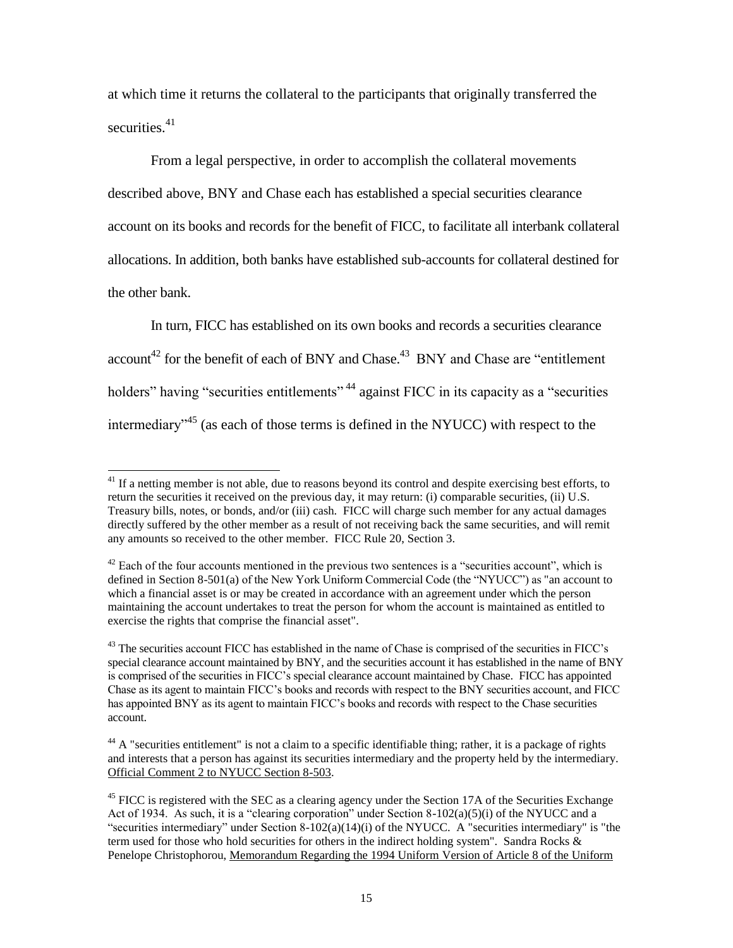at which time it returns the collateral to the participants that originally transferred the securities.<sup>41</sup>

From a legal perspective, in order to accomplish the collateral movements described above, BNY and Chase each has established a special securities clearance account on its books and records for the benefit of FICC, to facilitate all interbank collateral allocations. In addition, both banks have established sub-accounts for collateral destined for the other bank.

In turn, FICC has established on its own books and records a securities clearance account<sup>42</sup> for the benefit of each of BNY and Chase.<sup>43</sup> BNY and Chase are "entitlement" holders" having "securities entitlements" <sup>44</sup> against FICC in its capacity as a "securities" intermediary"<sup>45</sup> (as each of those terms is defined in the NYUCC) with respect to the

 $^{41}$  If a netting member is not able, due to reasons beyond its control and despite exercising best efforts, to return the securities it received on the previous day, it may return: (i) comparable securities, (ii) U.S. Treasury bills, notes, or bonds, and/or (iii) cash. FICC will charge such member for any actual damages directly suffered by the other member as a result of not receiving back the same securities, and will remit any amounts so received to the other member. FICC Rule 20, Section 3.

 $42$  Each of the four accounts mentioned in the previous two sentences is a "securities account", which is defined in Section 8-501(a) of the New York Uniform Commercial Code (the "NYUCC") as "an account to which a financial asset is or may be created in accordance with an agreement under which the person maintaining the account undertakes to treat the person for whom the account is maintained as entitled to exercise the rights that comprise the financial asset".

<sup>&</sup>lt;sup>43</sup> The securities account FICC has established in the name of Chase is comprised of the securities in FICC's special clearance account maintained by BNY, and the securities account it has established in the name of BNY is comprised of the securities in FICC's special clearance account maintained by Chase. FICC has appointed Chase as its agent to maintain FICC's books and records with respect to the BNY securities account, and FICC has appointed BNY as its agent to maintain FICC's books and records with respect to the Chase securities account.

 $44$  A "securities entitlement" is not a claim to a specific identifiable thing; rather, it is a package of rights and interests that a person has against its securities intermediary and the property held by the intermediary. Official Comment 2 to NYUCC Section 8-503.

<sup>&</sup>lt;sup>45</sup> FICC is registered with the SEC as a clearing agency under the Section 17A of the Securities Exchange Act of 1934. As such, it is a "clearing corporation" under Section  $8-102(a)(5)(i)$  of the NYUCC and a "securities intermediary" under Section 8-102(a)(14)(i) of the NYUCC. A "securities intermediary" is "the term used for those who hold securities for others in the indirect holding system". Sandra Rocks  $\&$ Penelope Christophorou, Memorandum Regarding the 1994 Uniform Version of Article 8 of the Uniform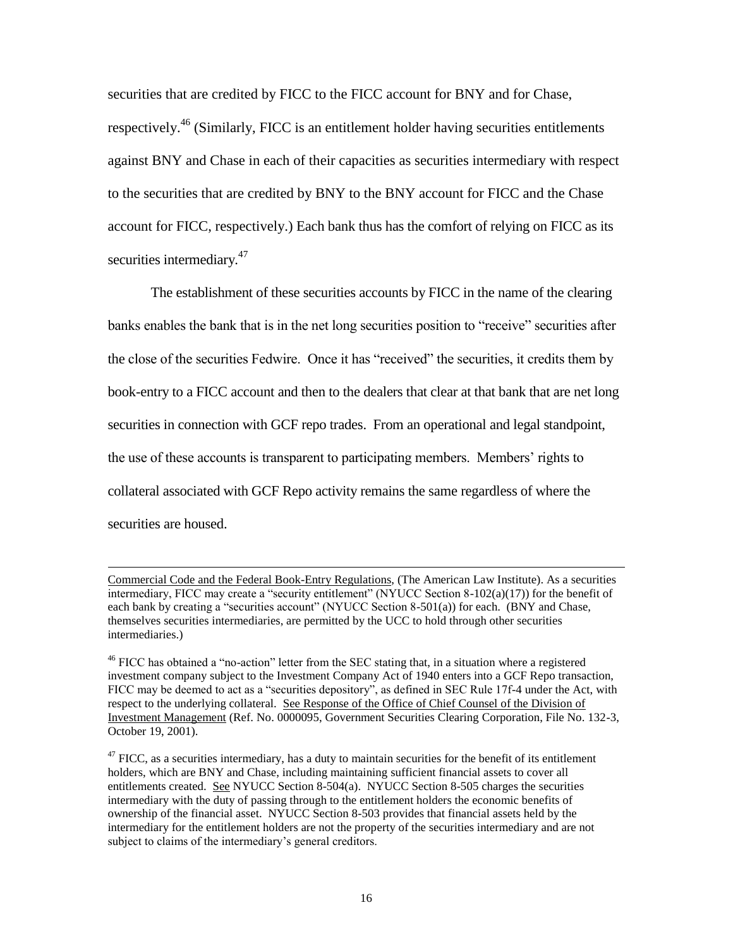securities that are credited by FICC to the FICC account for BNY and for Chase, respectively.<sup>46</sup> (Similarly, FICC is an entitlement holder having securities entitlements against BNY and Chase in each of their capacities as securities intermediary with respect to the securities that are credited by BNY to the BNY account for FICC and the Chase account for FICC, respectively.) Each bank thus has the comfort of relying on FICC as its securities intermediary.<sup>47</sup>

The establishment of these securities accounts by FICC in the name of the clearing banks enables the bank that is in the net long securities position to "receive" securities after the close of the securities Fedwire. Once it has "received" the securities, it credits them by book-entry to a FICC account and then to the dealers that clear at that bank that are net long securities in connection with GCF repo trades. From an operational and legal standpoint, the use of these accounts is transparent to participating members. Members' rights to collateral associated with GCF Repo activity remains the same regardless of where the securities are housed.

l

Commercial Code and the Federal Book-Entry Regulations, (The American Law Institute). As a securities intermediary, FICC may create a "security entitlement" (NYUCC Section 8-102(a)(17)) for the benefit of each bank by creating a "securities account" (NYUCC Section 8-501(a)) for each. (BNY and Chase, themselves securities intermediaries, are permitted by the UCC to hold through other securities intermediaries.)

<sup>&</sup>lt;sup>46</sup> FICC has obtained a "no-action" letter from the SEC stating that, in a situation where a registered investment company subject to the Investment Company Act of 1940 enters into a GCF Repo transaction, FICC may be deemed to act as a "securities depository", as defined in SEC Rule 17f-4 under the Act, with respect to the underlying collateral. See Response of the Office of Chief Counsel of the Division of Investment Management (Ref. No. 0000095, Government Securities Clearing Corporation, File No. 132-3, October 19, 2001).

 $47$  FICC, as a securities intermediary, has a duty to maintain securities for the benefit of its entitlement holders, which are BNY and Chase, including maintaining sufficient financial assets to cover all entitlements created. See NYUCC Section 8-504(a). NYUCC Section 8-505 charges the securities intermediary with the duty of passing through to the entitlement holders the economic benefits of ownership of the financial asset. NYUCC Section 8-503 provides that financial assets held by the intermediary for the entitlement holders are not the property of the securities intermediary and are not subject to claims of the intermediary's general creditors.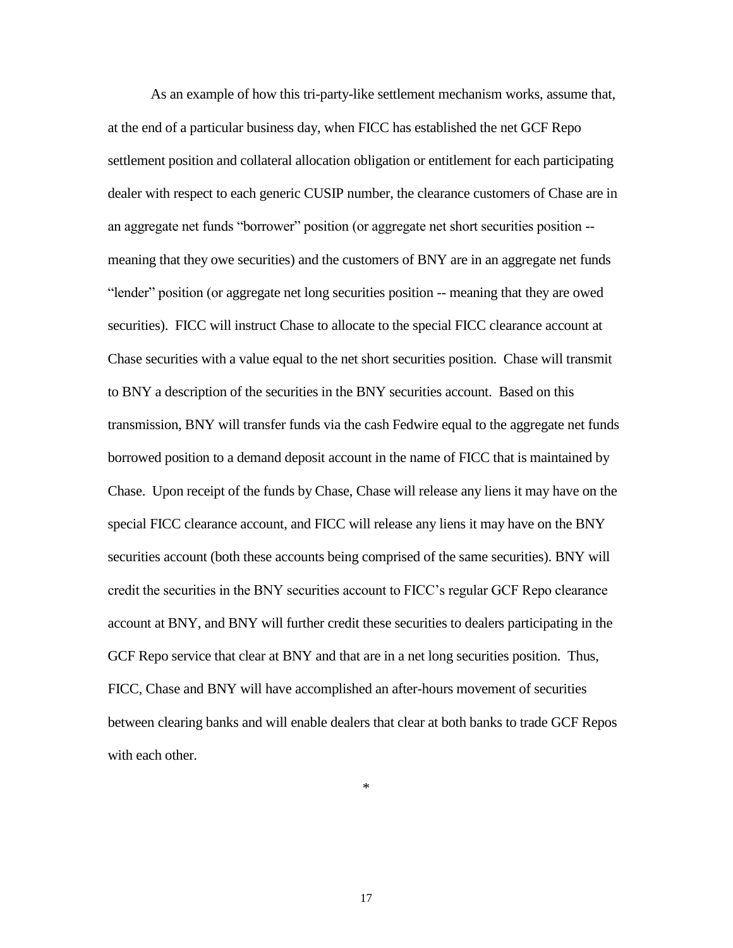As an example of how this tri-party-like settlement mechanism works, assume that, at the end of a particular business day, when FICC has established the net GCF Repo settlement position and collateral allocation obligation or entitlement for each participating dealer with respect to each generic CUSIP number, the clearance customers of Chase are in an aggregate net funds "borrower" position (or aggregate net short securities position - meaning that they owe securities) and the customers of BNY are in an aggregate net funds "lender" position (or aggregate net long securities position -- meaning that they are owed securities). FICC will instruct Chase to allocate to the special FICC clearance account at Chase securities with a value equal to the net short securities position. Chase will transmit to BNY a description of the securities in the BNY securities account. Based on this transmission, BNY will transfer funds via the cash Fedwire equal to the aggregate net funds borrowed position to a demand deposit account in the name of FICC that is maintained by Chase. Upon receipt of the funds by Chase, Chase will release any liens it may have on the special FICC clearance account, and FICC will release any liens it may have on the BNY securities account (both these accounts being comprised of the same securities). BNY will credit the securities in the BNY securities account to FICC's regular GCF Repo clearance account at BNY, and BNY will further credit these securities to dealers participating in the GCF Repo service that clear at BNY and that are in a net long securities position. Thus, FICC, Chase and BNY will have accomplished an after-hours movement of securities between clearing banks and will enable dealers that clear at both banks to trade GCF Repos with each other.

\*